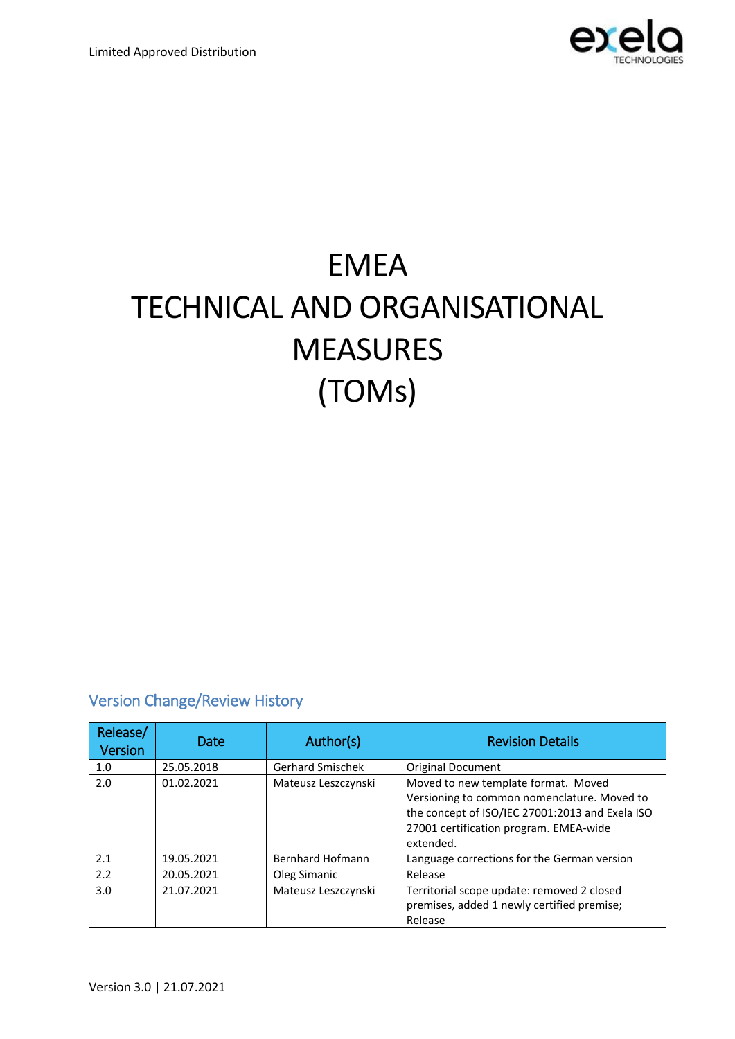

# EMEA TECHNICAL AND ORGANISATIONAL **MEASURES** (TOMs)

### Version Change/Review History

| Release/<br><b>Version</b> | Date       | Author(s)               | <b>Revision Details</b>                                                                                                                                                                      |
|----------------------------|------------|-------------------------|----------------------------------------------------------------------------------------------------------------------------------------------------------------------------------------------|
| 1.0                        | 25.05.2018 | <b>Gerhard Smischek</b> | <b>Original Document</b>                                                                                                                                                                     |
| 2.0                        | 01.02.2021 | Mateusz Leszczynski     | Moved to new template format. Moved<br>Versioning to common nomenclature. Moved to<br>the concept of ISO/IEC 27001:2013 and Exela ISO<br>27001 certification program. EMEA-wide<br>extended. |
| 2.1                        | 19.05.2021 | <b>Bernhard Hofmann</b> | Language corrections for the German version                                                                                                                                                  |
| 2.2                        | 20.05.2021 | Oleg Simanic            | Release                                                                                                                                                                                      |
| 3.0                        | 21.07.2021 | Mateusz Leszczynski     | Territorial scope update: removed 2 closed<br>premises, added 1 newly certified premise;<br>Release                                                                                          |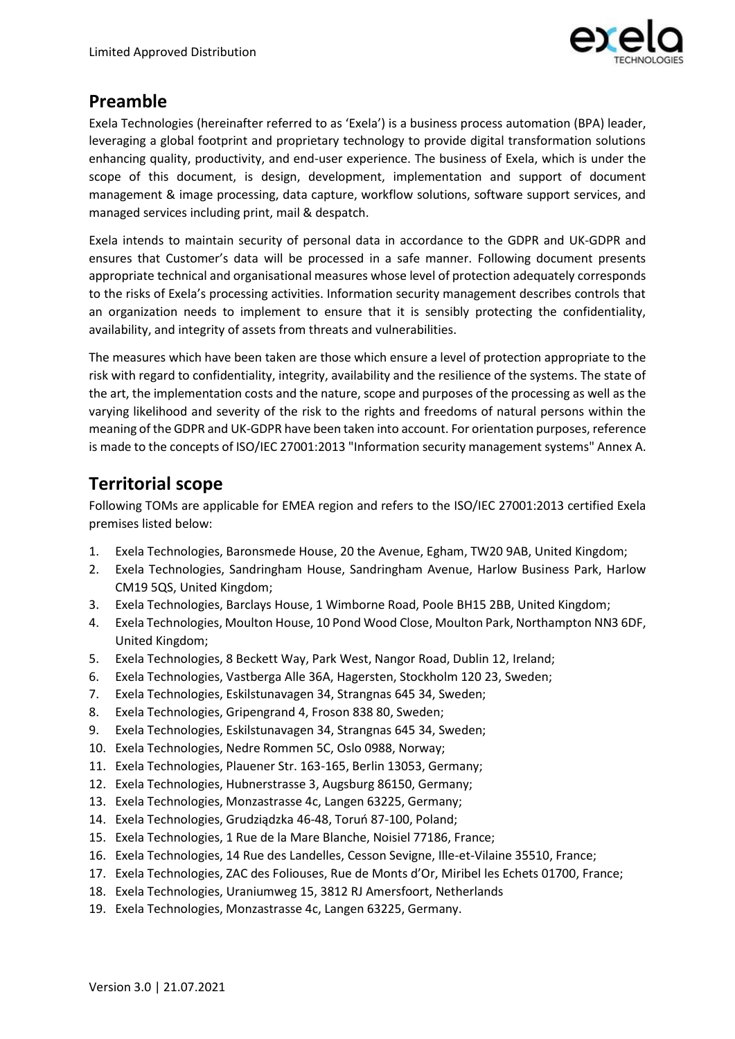

## **Preamble**

Exela Technologies (hereinafter referred to as 'Exela') is a business process automation (BPA) leader, leveraging a global footprint and proprietary technology to provide digital transformation solutions enhancing quality, productivity, and end-user experience. The business of Exela, which is under the scope of this document, is design, development, implementation and support of document management & image processing, data capture, workflow solutions, software support services, and managed services including print, mail & despatch.

Exela intends to maintain security of personal data in accordance to the GDPR and UK-GDPR and ensures that Customer's data will be processed in a safe manner. Following document presents appropriate technical and organisational measures whose level of protection adequately corresponds to the risks of Exela's processing activities. Information security management describes controls that an organization needs to implement to ensure that it is sensibly protecting the confidentiality, availability, and integrity of assets from threats and vulnerabilities.

The measures which have been taken are those which ensure a level of protection appropriate to the risk with regard to confidentiality, integrity, availability and the resilience of the systems. The state of the art, the implementation costs and the nature, scope and purposes of the processing as well as the varying likelihood and severity of the risk to the rights and freedoms of natural persons within the meaning of the GDPR and UK-GDPR have been taken into account. For orientation purposes, reference is made to the concepts of ISO/IEC 27001:2013 "Information security management systems" Annex A.

## **Territorial scope**

Following TOMs are applicable for EMEA region and refers to the ISO/IEC 27001:2013 certified Exela premises listed below:

- 1. Exela Technologies, Baronsmede House, 20 the Avenue, Egham, TW20 9AB, United Kingdom;
- 2. Exela Technologies, Sandringham House, Sandringham Avenue, Harlow Business Park, Harlow CM19 5QS, United Kingdom;
- 3. Exela Technologies, Barclays House, 1 Wimborne Road, Poole BH15 2BB, United Kingdom;
- 4. Exela Technologies, Moulton House, 10 Pond Wood Close, Moulton Park, Northampton NN3 6DF, United Kingdom;
- 5. Exela Technologies, 8 Beckett Way, Park West, Nangor Road, Dublin 12, Ireland;
- 6. Exela Technologies, Vastberga Alle 36A, Hagersten, Stockholm 120 23, Sweden;
- 7. Exela Technologies, Eskilstunavagen 34, Strangnas 645 34, Sweden;
- 8. Exela Technologies, Gripengrand 4, Froson 838 80, Sweden;
- 9. Exela Technologies, Eskilstunavagen 34, Strangnas 645 34, Sweden;
- 10. Exela Technologies, Nedre Rommen 5C, Oslo 0988, Norway;
- 11. Exela Technologies, Plauener Str. 163-165, Berlin 13053, Germany;
- 12. Exela Technologies, Hubnerstrasse 3, Augsburg 86150, Germany;
- 13. Exela Technologies, Monzastrasse 4c, Langen 63225, Germany;
- 14. Exela Technologies, Grudziądzka 46-48, Toruń 87-100, Poland;
- 15. Exela Technologies, 1 Rue de la Mare Blanche, Noisiel 77186, France;
- 16. Exela Technologies, 14 Rue des Landelles, Cesson Sevigne, Ille-et-Vilaine 35510, France;
- 17. Exela Technologies, ZAC des Foliouses, Rue de Monts d'Or, Miribel les Echets 01700, France;
- 18. Exela Technologies, Uraniumweg 15, 3812 RJ Amersfoort, Netherlands
- 19. Exela Technologies, Monzastrasse 4c, Langen 63225, Germany.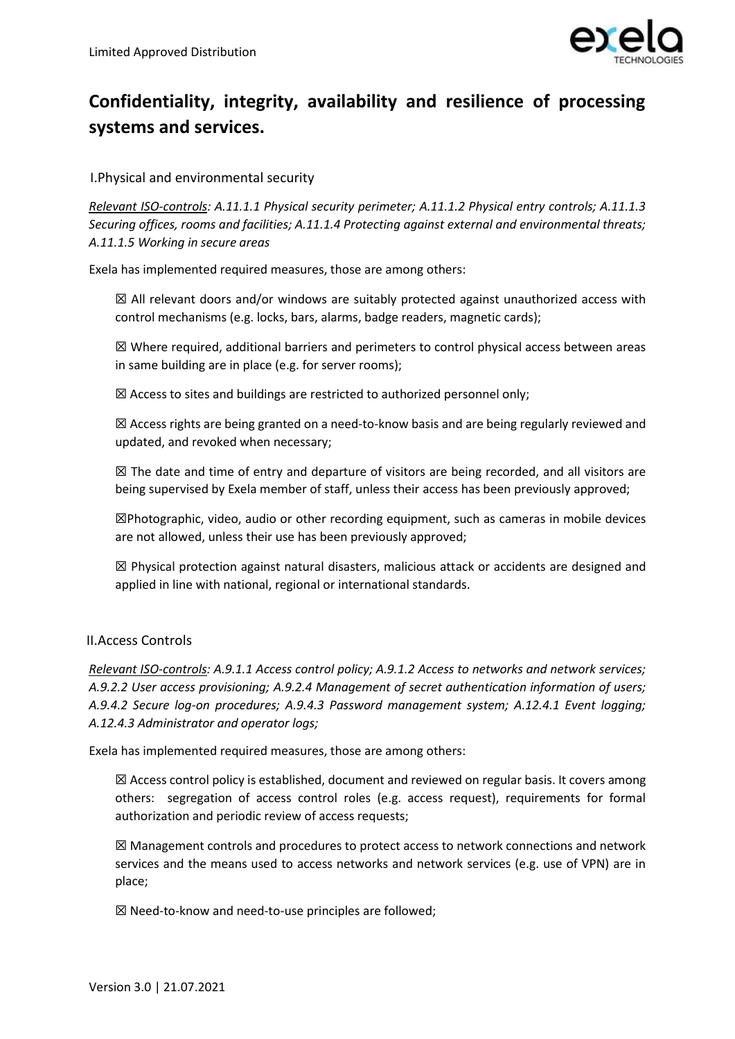

# **Confidentiality, integrity, availability and resilience of processing systems and services.**

I.Physical and environmental security

*Relevant ISO-controls: A.11.1.1 Physical security perimeter; A.11.1.2 Physical entry controls; A.11.1.3 Securing offices, rooms and facilities; A.11.1.4 Protecting against external and environmental threats; A.11.1.5 Working in secure areas*

Exela has implemented required measures, those are among others:

 $\boxtimes$  All relevant doors and/or windows are suitably protected against unauthorized access with control mechanisms (e.g. locks, bars, alarms, badge readers, magnetic cards);

 $\boxtimes$  Where required, additional barriers and perimeters to control physical access between areas in same building are in place (e.g. for server rooms);

 $\boxtimes$  Access to sites and buildings are restricted to authorized personnel only;

☒ Access rights are being granted on a need-to-know basis and are being regularly reviewed and updated, and revoked when necessary;

 $\boxtimes$  The date and time of entry and departure of visitors are being recorded, and all visitors are being supervised by Exela member of staff, unless their access has been previously approved;

☒Photographic, video, audio or other recording equipment, such as cameras in mobile devices are not allowed, unless their use has been previously approved;

 $\boxtimes$  Physical protection against natural disasters, malicious attack or accidents are designed and applied in line with national, regional or international standards.

#### II.Access Controls

*Relevant ISO-controls: A.9.1.1 Access control policy; A.9.1.2 Access to networks and network services; A.9.2.2 User access provisioning; A.9.2.4 Management of secret authentication information of users; A.9.4.2 Secure log-on procedures; A.9.4.3 Password management system; A.12.4.1 Event logging; A.12.4.3 Administrator and operator logs;* 

Exela has implemented required measures, those are among others:

 $\boxtimes$  Access control policy is established, document and reviewed on regular basis. It covers among others: segregation of access control roles (e.g. access request), requirements for formal authorization and periodic review of access requests;

☒ Management controls and procedures to protect access to network connections and network services and the means used to access networks and network services (e.g. use of VPN) are in place;

☒ Need-to-know and need-to-use principles are followed;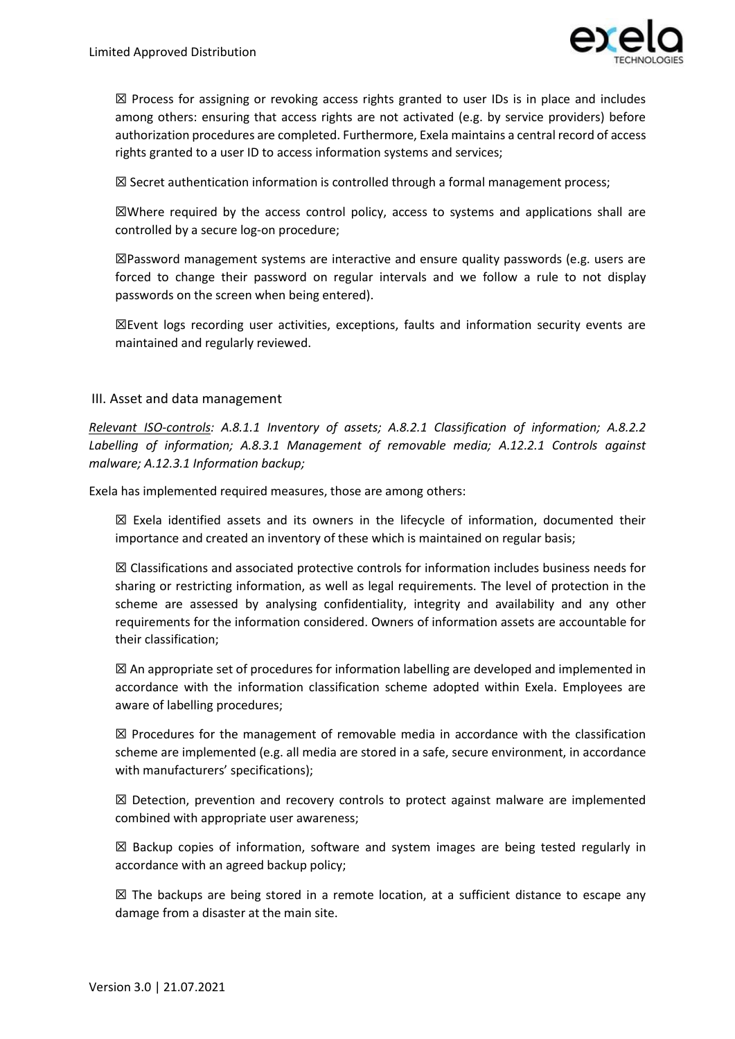

 $\boxtimes$  Process for assigning or revoking access rights granted to user IDs is in place and includes among others: ensuring that access rights are not activated (e.g. by service providers) before authorization procedures are completed. Furthermore, Exela maintains a central record of access rights granted to a user ID to access information systems and services;

 $\boxtimes$  Secret authentication information is controlled through a formal management process;

☒Where required by the access control policy, access to systems and applications shall are controlled by a secure log-on procedure;

 $\boxtimes$ Password management systems are interactive and ensure quality passwords (e.g. users are forced to change their password on regular intervals and we follow a rule to not display passwords on the screen when being entered).

 $\boxtimes$ Event logs recording user activities, exceptions, faults and information security events are maintained and regularly reviewed.

#### III. Asset and data management

*Relevant ISO-controls: A.8.1.1 Inventory of assets; A.8.2.1 Classification of information; A.8.2.2 Labelling of information; A.8.3.1 Management of removable media; A.12.2.1 Controls against malware; A.12.3.1 Information backup;* 

Exela has implemented required measures, those are among others:

 $\boxtimes$  Exela identified assets and its owners in the lifecycle of information, documented their importance and created an inventory of these which is maintained on regular basis;

☒ Classifications and associated protective controls for information includes business needs for sharing or restricting information, as well as legal requirements. The level of protection in the scheme are assessed by analysing confidentiality, integrity and availability and any other requirements for the information considered. Owners of information assets are accountable for their classification;

 $\boxtimes$  An appropriate set of procedures for information labelling are developed and implemented in accordance with the information classification scheme adopted within Exela. Employees are aware of labelling procedures;

 $\boxtimes$  Procedures for the management of removable media in accordance with the classification scheme are implemented (e.g. all media are stored in a safe, secure environment, in accordance with manufacturers' specifications);

 $\boxtimes$  Detection, prevention and recovery controls to protect against malware are implemented combined with appropriate user awareness;

 $\boxtimes$  Backup copies of information, software and system images are being tested regularly in accordance with an agreed backup policy;

 $\boxtimes$  The backups are being stored in a remote location, at a sufficient distance to escape any damage from a disaster at the main site.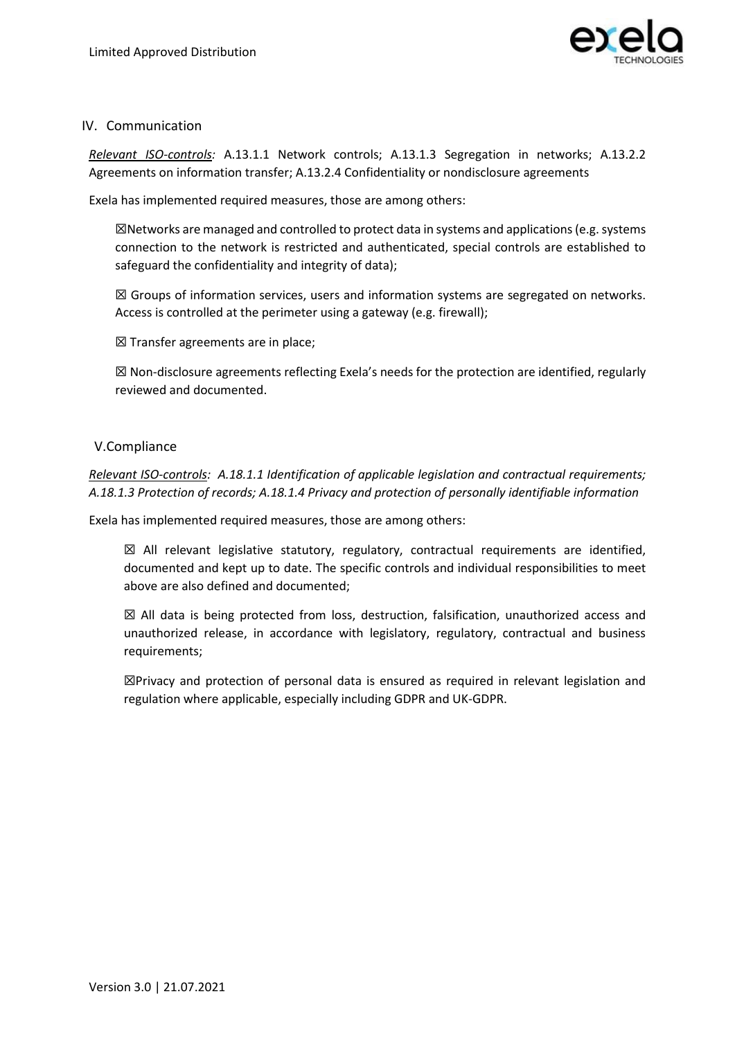

#### IV. Communication

*Relevant ISO-controls:* A.13.1.1 Network controls; A.13.1.3 Segregation in networks; A.13.2.2 Agreements on information transfer; A.13.2.4 Confidentiality or nondisclosure agreements

Exela has implemented required measures, those are among others:

 $\boxtimes$ Networks are managed and controlled to protect data in systems and applications (e.g. systems connection to the network is restricted and authenticated, special controls are established to safeguard the confidentiality and integrity of data);

 $\boxtimes$  Groups of information services, users and information systems are segregated on networks. Access is controlled at the perimeter using a gateway (e.g. firewall);

☒ Transfer agreements are in place;

 $\boxtimes$  Non-disclosure agreements reflecting Exela's needs for the protection are identified, regularly reviewed and documented.

#### V.Compliance

*Relevant ISO-controls: A.18.1.1 Identification of applicable legislation and contractual requirements; A.18.1.3 Protection of records; A.18.1.4 Privacy and protection of personally identifiable information*

Exela has implemented required measures, those are among others:

 $\boxtimes$  All relevant legislative statutory, regulatory, contractual requirements are identified, documented and kept up to date. The specific controls and individual responsibilities to meet above are also defined and documented;

 $\boxtimes$  All data is being protected from loss, destruction, falsification, unauthorized access and unauthorized release, in accordance with legislatory, regulatory, contractual and business requirements;

☒Privacy and protection of personal data is ensured as required in relevant legislation and regulation where applicable, especially including GDPR and UK-GDPR.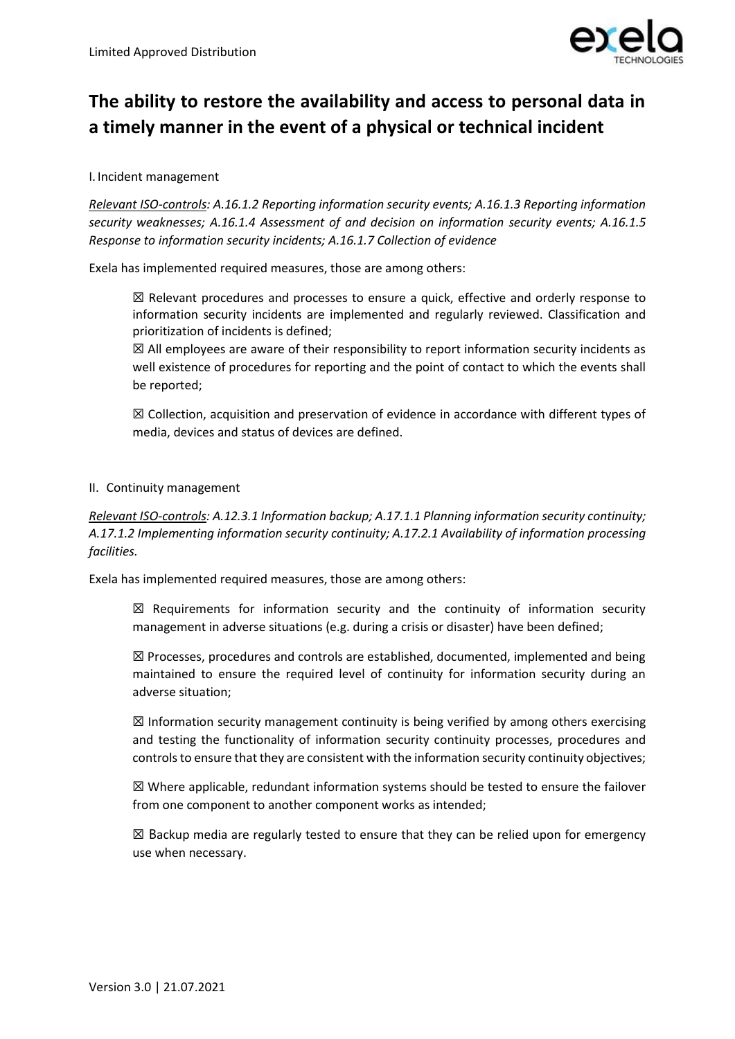

# **The ability to restore the availability and access to personal data in a timely manner in the event of a physical or technical incident**

I. Incident management

*Relevant ISO-controls: A.16.1.2 Reporting information security events; A.16.1.3 Reporting information security weaknesses; A.16.1.4 Assessment of and decision on information security events; A.16.1.5 Response to information security incidents; A.16.1.7 Collection of evidence*

Exela has implemented required measures, those are among others:

☒ Relevant procedures and processes to ensure a quick, effective and orderly response to information security incidents are implemented and regularly reviewed. Classification and prioritization of incidents is defined;

☒ All employees are aware of their responsibility to report information security incidents as well existence of procedures for reporting and the point of contact to which the events shall be reported;

☒ Collection, acquisition and preservation of evidence in accordance with different types of media, devices and status of devices are defined.

#### II. Continuity management

*Relevant ISO-controls: A.12.3.1 Information backup; A.17.1.1 Planning information security continuity; A.17.1.2 Implementing information security continuity; A.17.2.1 Availability of information processing facilities.*

Exela has implemented required measures, those are among others:

 $\boxtimes$  Requirements for information security and the continuity of information security management in adverse situations (e.g. during a crisis or disaster) have been defined;

 $\boxtimes$  Processes, procedures and controls are established, documented, implemented and being maintained to ensure the required level of continuity for information security during an adverse situation;

 $\boxtimes$  Information security management continuity is being verified by among others exercising and testing the functionality of information security continuity processes, procedures and controls to ensure that they are consistent with the information security continuity objectives;

 $\boxtimes$  Where applicable, redundant information systems should be tested to ensure the failover from one component to another component works as intended;

 $\boxtimes$  Backup media are regularly tested to ensure that they can be relied upon for emergency use when necessary.